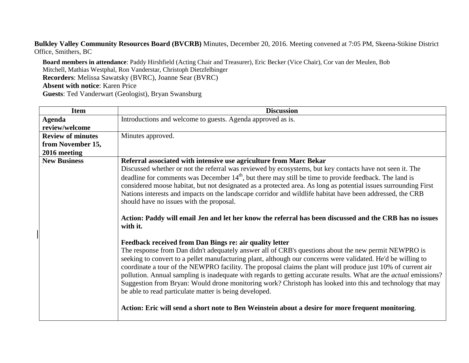**Bulkley Valley Community Resources Board (BVCRB)** Minutes, December 20, 2016. Meeting convened at 7:05 PM, Skeena-Stikine District Office, Smithers, BC

**Board members in attendance**: Paddy Hirshfield (Acting Chair and Treasurer), Eric Becker (Vice Chair), Cor van der Meulen, Bob Mitchell, Mathias Westphal, Ron Vanderstar, Christoph Dietzfelbinger **Recorders**: Melissa Sawatsky (BVRC), Joanne Sear (BVRC) **Absent with notice**: Karen Price **Guests**: Ted Vanderwart (Geologist), Bryan Swansburg

| <b>Item</b>              | <b>Discussion</b>                                                                                                                                                                                                                                                                                                                                                                                                                                                                                                                                                                                                                                                                                                                                                                                        |
|--------------------------|----------------------------------------------------------------------------------------------------------------------------------------------------------------------------------------------------------------------------------------------------------------------------------------------------------------------------------------------------------------------------------------------------------------------------------------------------------------------------------------------------------------------------------------------------------------------------------------------------------------------------------------------------------------------------------------------------------------------------------------------------------------------------------------------------------|
| Agenda                   | Introductions and welcome to guests. Agenda approved as is.                                                                                                                                                                                                                                                                                                                                                                                                                                                                                                                                                                                                                                                                                                                                              |
| review/welcome           |                                                                                                                                                                                                                                                                                                                                                                                                                                                                                                                                                                                                                                                                                                                                                                                                          |
| <b>Review of minutes</b> | Minutes approved.                                                                                                                                                                                                                                                                                                                                                                                                                                                                                                                                                                                                                                                                                                                                                                                        |
| from November 15,        |                                                                                                                                                                                                                                                                                                                                                                                                                                                                                                                                                                                                                                                                                                                                                                                                          |
| 2016 meeting             |                                                                                                                                                                                                                                                                                                                                                                                                                                                                                                                                                                                                                                                                                                                                                                                                          |
| <b>New Business</b>      | Referral associated with intensive use agriculture from Marc Bekar                                                                                                                                                                                                                                                                                                                                                                                                                                                                                                                                                                                                                                                                                                                                       |
|                          | Discussed whether or not the referral was reviewed by ecosystems, but key contacts have not seen it. The                                                                                                                                                                                                                                                                                                                                                                                                                                                                                                                                                                                                                                                                                                 |
|                          | deadline for comments was December 14 <sup>th</sup> , but there may still be time to provide feedback. The land is<br>considered moose habitat, but not designated as a protected area. As long as potential issues surrounding First<br>Nations interests and impacts on the landscape corridor and wildlife habitat have been addressed, the CRB<br>should have no issues with the proposal.                                                                                                                                                                                                                                                                                                                                                                                                           |
|                          | Action: Paddy will email Jen and let her know the referral has been discussed and the CRB has no issues<br>with it.                                                                                                                                                                                                                                                                                                                                                                                                                                                                                                                                                                                                                                                                                      |
|                          | Feedback received from Dan Bings re: air quality letter<br>The response from Dan didn't adequately answer all of CRB's questions about the new permit NEWPRO is<br>seeking to convert to a pellet manufacturing plant, although our concerns were validated. He'd be willing to<br>coordinate a tour of the NEWPRO facility. The proposal claims the plant will produce just 10% of current air<br>pollution. Annual sampling is inadequate with regards to getting accurate results. What are the <i>actual</i> emissions?<br>Suggestion from Bryan: Would drone monitoring work? Christoph has looked into this and technology that may<br>be able to read particulate matter is being developed.<br>Action: Eric will send a short note to Ben Weinstein about a desire for more frequent monitoring. |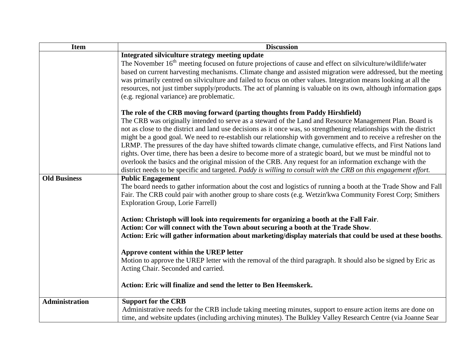| <b>Item</b>           | <b>Discussion</b>                                                                                                                                                                                                                                                                                                                                                                                                                                                                                                            |
|-----------------------|------------------------------------------------------------------------------------------------------------------------------------------------------------------------------------------------------------------------------------------------------------------------------------------------------------------------------------------------------------------------------------------------------------------------------------------------------------------------------------------------------------------------------|
|                       | Integrated silviculture strategy meeting update                                                                                                                                                                                                                                                                                                                                                                                                                                                                              |
|                       | The November 16 <sup>th</sup> meeting focused on future projections of cause and effect on silviculture/wildlife/water<br>based on current harvesting mechanisms. Climate change and assisted migration were addressed, but the meeting<br>was primarily centred on silviculture and failed to focus on other values. Integration means looking at all the<br>resources, not just timber supply/products. The act of planning is valuable on its own, although information gaps<br>(e.g. regional variance) are problematic. |
|                       | The role of the CRB moving forward (parting thoughts from Paddy Hirshfield)                                                                                                                                                                                                                                                                                                                                                                                                                                                  |
|                       | The CRB was originally intended to serve as a steward of the Land and Resource Management Plan. Board is<br>not as close to the district and land use decisions as it once was, so strengthening relationships with the district<br>might be a good goal. We need to re-establish our relationship with government and to receive a refresher on the                                                                                                                                                                         |
|                       | LRMP. The pressures of the day have shifted towards climate change, cumulative effects, and First Nations land                                                                                                                                                                                                                                                                                                                                                                                                               |
|                       | rights. Over time, there has been a desire to become more of a strategic board, but we must be mindful not to                                                                                                                                                                                                                                                                                                                                                                                                                |
|                       | overlook the basics and the original mission of the CRB. Any request for an information exchange with the                                                                                                                                                                                                                                                                                                                                                                                                                    |
|                       | district needs to be specific and targeted. Paddy is willing to consult with the CRB on this engagement effort.                                                                                                                                                                                                                                                                                                                                                                                                              |
| <b>Old Business</b>   | <b>Public Engagement</b><br>The board needs to gather information about the cost and logistics of running a booth at the Trade Show and Fall<br>Fair. The CRB could pair with another group to share costs (e.g. Wetzin'kwa Community Forest Corp; Smithers<br><b>Exploration Group, Lorie Farrell)</b>                                                                                                                                                                                                                      |
|                       | Action: Christoph will look into requirements for organizing a booth at the Fall Fair.<br>Action: Cor will connect with the Town about securing a booth at the Trade Show.<br>Action: Eric will gather information about marketing/display materials that could be used at these booths.                                                                                                                                                                                                                                     |
|                       | Approve content within the UREP letter<br>Motion to approve the UREP letter with the removal of the third paragraph. It should also be signed by Eric as<br>Acting Chair. Seconded and carried.                                                                                                                                                                                                                                                                                                                              |
|                       | Action: Eric will finalize and send the letter to Ben Heemskerk.                                                                                                                                                                                                                                                                                                                                                                                                                                                             |
| <b>Administration</b> | <b>Support for the CRB</b>                                                                                                                                                                                                                                                                                                                                                                                                                                                                                                   |
|                       | Administrative needs for the CRB include taking meeting minutes, support to ensure action items are done on                                                                                                                                                                                                                                                                                                                                                                                                                  |
|                       | time, and website updates (including archiving minutes). The Bulkley Valley Research Centre (via Joanne Sear                                                                                                                                                                                                                                                                                                                                                                                                                 |